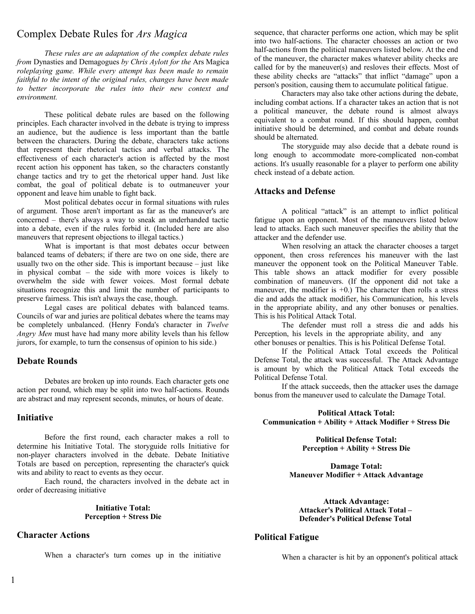# Complex Debate Rules for *Ars Magica*

*These rules are an adaptation of the complex debate rules from* Dynasties and Demagogues *by Chris Aylott for the* Ars Magica *roleplaying game. While every attempt has been made to remain faithful to the intent of the original rules, changes have been made to better incorporate the rules into their new context and environment.*

These political debate rules are based on the following principles. Each character involved in the debate is trying to impress an audience, but the audience is less important than the battle between the characters. During the debate, characters take actions that represent their rhetorical tactics and verbal attacks. The effectiveness of each character's action is affected by the most recent action his opponent has taken, so the characters constantly change tactics and try to get the rhetorical upper hand. Just like combat, the goal of political debate is to outmaneuver your opponent and leave him unable to fight back.

Most political debates occur in formal situations with rules of argument. Those aren't important as far as the maneuver's are concerned – there's always a way to sneak an underhanded tactic into a debate, even if the rules forbid it. (Included here are also maneuvers that represent objections to illegal tactics.)

What is important is that most debates occur between balanced teams of debaters; if there are two on one side, there are usually two on the other side. This is important because  $-$  just like in physical combat – the side with more voices is likely to overwhelm the side with fewer voices. Most formal debate situations recognize this and limit the number of participants to preserve fairness. This isn't always the case, though.

Legal cases are political debates with balanced teams. Councils of war and juries are political debates where the teams may be completely unbalanced. (Henry Fonda's character in *Twelve Angry Men* must have had many more ability levels than his fellow jurors, for example, to turn the consensus of opinion to his side.)

### **Debate Rounds**

Debates are broken up into rounds. Each character gets one action per round, which may be split into two half-actions. Rounds are abstract and may represent seconds, minutes, or hours of deate.

### **Initiative**

Before the first round, each character makes a roll to determine his Initiative Total. The storyguide rolls Initiative for non-player characters involved in the debate. Debate Initiative Totals are based on perception, representing the character's quick wits and ability to react to events as they occur.

Each round, the characters involved in the debate act in order of decreasing initiative

#### **Initiative Total: Perception + Stress Die**

# **Character Actions**

When a character's turn comes up in the initiative

sequence, that character performs one action, which may be split into two half-actions. The character choosses an action or two half-actions from the political maneuvers listed below. At the end of the maneuver, the character makes whatever ability checks are called for by the maneuver(s) and resloves their effects. Most of these ability checks are "attacks" that inflict "damage" upon a person's position, causing them to accumulate political fatigue.

Characters may also take other actions during the debate, including combat actions. If a character takes an action that is not a political maneuver, the debate round is almost always equivalent to a combat round. If this should happen, combat initiative should be determined, and combat and debate rounds should be alternated.

The storyguide may also decide that a debate round is long enough to accommodate more-complicated non-combat actions. It's usually reasonable for a player to perform one ability check instead of a debate action.

## **Attacks and Defense**

A political "attack" is an attempt to inflict political fatigue upon an opponent. Most of the maneuvers listed below lead to attacks. Each such maneuver specifies the ability that the attacker and the defender use.

When resolving an attack the character chooses a target opponent, then cross references his maneuver with the last maneuver the opponent took on the Political Maneuver Table. This table shows an attack modifier for every possible combination of maneuvers. (If the opponent did not take a maneuver, the modifier is  $+0$ .) The character then rolls a stress die and adds the attack modifier, his Communication, his levels in the appropriate ability, and any other bonuses or penalties. This is his Political Attack Total.

The defender must roll a stress die and adds his Perception, his levels in the appropriate ability, and any other bonuses or penalties. This is his Political Defense Total.

If the Political Attack Total exceeds the Political Defense Total, the attack was successful. The Attack Advantage is amount by which the Political Attack Total exceeds the Political Defense Total.

If the attack succeeds, then the attacker uses the damage bonus from the maneuver used to calculate the Damage Total.

**Political Attack Total: Communication + Ability + Attack Modifier + Stress Die**

> **Political Defense Total: Perception + Ability + Stress Die**

**Damage Total: Maneuver Modifier + Attack Advantage**

**Attack Advantage: Attacker's Political Attack Total – Defender's Political Defense Total**

# **Political Fatigue**

When a character is hit by an opponent's political attack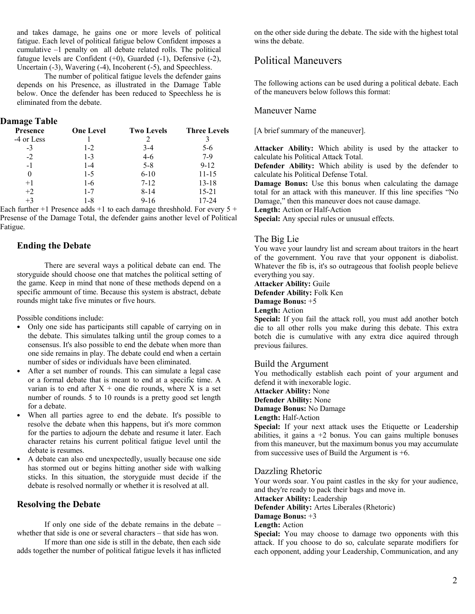and takes damage, he gains one or more levels of political fatigue. Each level of political fatigue below Confident imposes a cumulative –1 penalty on all debate related rolls. The political fatugue levels are Confident  $(+0)$ , Guarded  $(-1)$ , Defensive  $(-2)$ , Uncertain (-3), Wavering (-4), Incoherent (-5), and Speechless.

The number of political fatigue levels the defender gains depends on his Presence, as illustrated in the Damage Table below. Once the defender has been reduced to Speechless he is eliminated from the debate.

# **Damage Table**

| <b>Presence</b> | <b>One Level</b> | <b>Two Levels</b> | <b>Three Levels</b> |
|-----------------|------------------|-------------------|---------------------|
| -4 or Less      |                  | C                 |                     |
| $-3$            | $1-2$            | $3-4$             | 5-6                 |
| $-2$            | $1 - 3$          | $4-6$             | $7-9$               |
| $-1$            | $1 - 4$          | $5 - 8$           | $9 - 12$            |
| $\theta$        | $1-5$            | $6 - 10$          | 11-15               |
| $+1$            | $1-6$            | $7 - 12$          | $13 - 18$           |
| $+2$            | $1 - 7$          | $8 - 14$          | $15 - 21$           |
| $+3$            | 1-8              | $9 - 16$          | 17-24               |

Each further  $+1$  Presence adds  $+1$  to each damage threshhold. For every  $5 +$ Presense of the Damage Total, the defender gains another level of Political Fatigue.

## **Ending the Debate**

There are several ways a political debate can end. The storyguide should choose one that matches the political setting of the game. Keep in mind that none of these methods depend on a specific ammount of time. Because this system is abstract, debate rounds might take five minutes or five hours.

Possible conditions include:

- Only one side has participants still capable of carrying on in the debate. This simulates talking until the group comes to a consensus. It's also possible to end the debate when more than one side remains in play. The debate could end when a certain number of sides or individuals have been eliminated.
- After a set number of rounds. This can simulate a legal case or a formal debate that is meant to end at a specific time. A varian is to end after  $X +$  one die rounds, where X is a set number of rounds. 5 to 10 rounds is a pretty good set length for a debate.
- When all parties agree to end the debate. It's possible to resolve the debate when this happens, but it's more common for the parties to adjourn the debate and resume it later. Each character retains his current political fatigue level until the debate is resumes.
- A debate can also end unexpectedly, usually because one side has stormed out or begins hitting another side with walking sticks. In this situation, the storyguide must decide if the debate is resolved normally or whether it is resolved at all.

# **Resolving the Debate**

If only one side of the debate remains in the debate – whether that side is one or several characters – that side has won.

If more than one side is still in the debate, then each side adds together the number of political fatigue levels it has inflicted on the other side during the debate. The side with the highest total wins the debate.

# Political Maneuvers

The following actions can be used during a political debate. Each of the maneuvers below follows this format:

# Maneuver Name

[A brief summary of the maneuver].

**Attacker Ability:** Which ability is used by the attacker to calculate his Political Attack Total.

**Defender Ability:** Which ability is used by the defender to calculate his Political Defense Total.

**Damage Bonus:** Use this bonus when calculating the damage total for an attack with this maneuver. If this line specifies "No Damage," then this maneuver does not cause damage.

**Length:** Action or Half-Action

**Special:** Any special rules or unusual effects.

### The Big Lie

You wave your laundry list and scream about traitors in the heart of the government. You rave that your opponent is diabolist. Whatever the fib is, it's so outrageous that foolish people believe everything you say.

**Attacker Ability:** Guile

**Defender Ability:** Folk Ken

**Damage Bonus:** +5

**Length:** Action

**Special:** If you fail the attack roll, you must add another botch die to all other rolls you make during this debate. This extra botch die is cumulative with any extra dice aquired through previous failures.

# Build the Argument

You methodically establish each point of your argument and defend it with inexorable logic.

**Attacker Ability:** None

**Defender Ability:** None

**Damage Bonus:** No Damage

# **Length:** Half-Action

**Special:** If your next attack uses the Etiquette or Leadership abilities, it gains  $a +2$  bonus. You can gains multiple bonuses from this maneuver, but the maximum bonus you may accumulate from successive uses of Build the Argument is  $+6$ .

#### Dazzling Rhetoric

Your words soar. You paint castles in the sky for your audience, and they're ready to pack their bags and move in.

**Attacker Ability:** Leadership

**Defender Ability:** Artes Liberales (Rhetoric)

**Damage Bonus:** +3

**Length:** Action

**Special:** You may choose to damage two opponents with this attack. If you choose to do so, calculate separate modifiers for each opponent, adding your Leadership, Communication, and any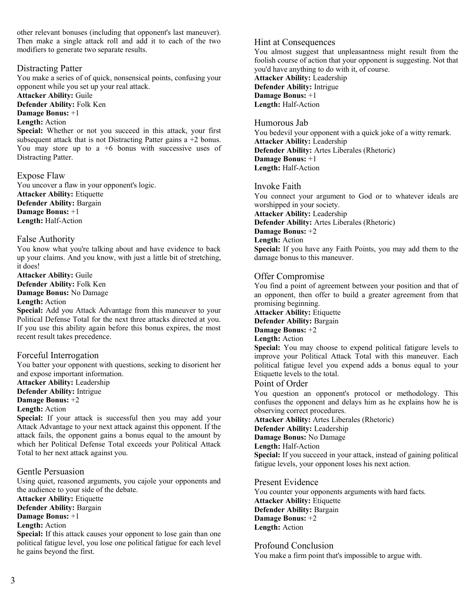other relevant bonuses (including that opponent's last maneuver). Then make a single attack roll and add it to each of the two modifiers to generate two separate results.

# Distracting Patter

You make a series of of quick, nonsensical points, confusing your opponent while you set up your real attack.

**Attacker Ability:** Guile

**Defender Ability:** Folk Ken

**Damage Bonus:** +1

# **Length:** Action

**Special:** Whether or not you succeed in this attack, your first subsequent attack that is not Distracting Patter gains a +2 bonus. You may store up to a  $+6$  bonus with successive uses of Distracting Patter.

Expose Flaw

You uncover a flaw in your opponent's logic. **Attacker Ability:** Etiquette **Defender Ability:** Bargain **Damage Bonus:** +1 **Length:** Half-Action

#### False Authority

You know what you're talking about and have evidence to back up your claims. And you know, with just a little bit of stretching, it does!

**Attacker Ability:** Guile **Defender Ability:** Folk Ken **Damage Bonus:** No Damage **Length:** Action

**Special:** Add you Attack Advantage from this maneuver to your Political Defense Total for the next three attacks directed at you. If you use this ability again before this bonus expires, the most recent result takes precedence.

### Forceful Interrogation

You batter your opponent with questions, seeking to disorient her and expose important information.

**Attacker Ability:** Leadership

**Defender Ability:** Intrigue

# **Damage Bonus:** +2

**Length:** Action

**Special:** If your attack is successful then you may add your Attack Advantage to your next attack against this opponent. If the attack fails, the opponent gains a bonus equal to the amount by which her Political Defense Total exceeds your Political Attack Total to her next attack against you.

### Gentle Persuasion

Using quiet, reasoned arguments, you cajole your opponents and the audience to your side of the debate.

**Attacker Ability:** Etiquette

**Defender Ability:** Bargain

# **Damage Bonus:** +1

# **Length:** Action

**Special:** If this attack causes your opponent to lose gain than one political fatigue level, you lose one political fatigue for each level he gains beyond the first.

## Hint at Consequences

You almost suggest that unpleasantness might result from the foolish course of action that your opponent is suggesting. Not that you'd have anything to do with it, of course.

**Attacker Ability:** Leadership **Defender Ability:** Intrigue **Damage Bonus:** +1 **Length:** Half-Action

#### Humorous Jab

You bedevil your opponent with a quick joke of a witty remark. **Attacker Ability:** Leadership **Defender Ability:** Artes Liberales (Rhetoric) **Damage Bonus:** +1 **Length:** Half-Action

### Invoke Faith

You connect your argument to God or to whatever ideals are worshipped in your society. **Attacker Ability:** Leadership **Defender Ability:** Artes Liberales (Rhetoric) **Damage Bonus:** +2 **Length:** Action **Special:** If you have any Faith Points, you may add them to the

damage bonus to this maneuver.

# Offer Compromise

You find a point of agreement between your position and that of an opponent, then offer to build a greater agreement from that promising beginning.

**Attacker Ability:** Etiquette

**Defender Ability:** Bargain

# **Damage Bonus:** +2

# **Length:** Action

**Special:** You may choose to expend political fatigure levels to improve your Political Attack Total with this maneuver. Each political fatigue level you expend adds a bonus equal to your Etiquette levels to the total.

## Point of Order

You question an opponent's protocol or methodology. This confuses the opponent and delays him as he explains how he is observing correct procedures.

**Attacker Ability:** Artes Liberales (Rhetoric)

**Defender Ability:** Leadership

**Damage Bonus:** No Damage

**Length:** Half-Action

**Special:** If you succeed in your attack, instead of gaining political fatigue levels, your opponent loses his next action.

### Present Evidence

You counter your opponents arguments with hard facts. **Attacker Ability:** Etiquette **Defender Ability:** Bargain **Damage Bonus:** +2 **Length:** Action

# Profound Conclusion

You make a firm point that's impossible to argue with.